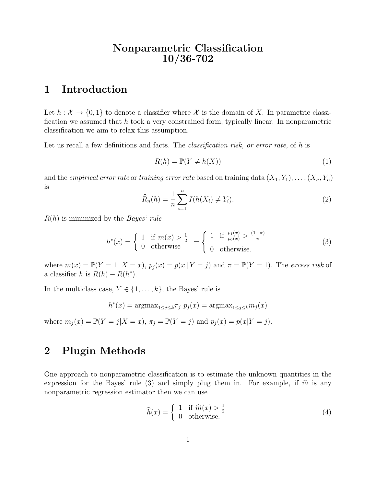# Nonparametric Classification 10/36-702

# 1 Introduction

Let  $h : \mathcal{X} \to \{0,1\}$  to denote a classifier where X is the domain of X. In parametric classification we assumed that  $h$  took a very constrained form, typically linear. In nonparametric classification we aim to relax this assumption.

Let us recall a few definitions and facts. The *classification risk, or error rate*, of h is

$$
R(h) = \mathbb{P}(Y \neq h(X))
$$
\n<sup>(1)</sup>

and the *empirical error rate* or training error rate based on training data  $(X_1, Y_1), \ldots, (X_n, Y_n)$ is

$$
\widehat{R}_n(h) = \frac{1}{n} \sum_{i=1}^n I(h(X_i) \neq Y_i).
$$
 (2)

 $R(h)$  is minimized by the *Bayes' rule* 

$$
h^*(x) = \begin{cases} 1 & \text{if } m(x) > \frac{1}{2} \\ 0 & \text{otherwise} \end{cases} = \begin{cases} 1 & \text{if } \frac{p_1(x)}{p_0(x)} > \frac{(1-\pi)}{\pi} \\ 0 & \text{otherwise.} \end{cases} \tag{3}
$$

where  $m(x) = \mathbb{P}(Y = 1 | X = x)$ ,  $p_j(x) = p(x | Y = j)$  and  $\pi = \mathbb{P}(Y = 1)$ . The excess risk of a classifier h is  $R(h) - R(h^*)$ .

In the multiclass case,  $Y \in \{1, \ldots, k\}$ , the Bayes' rule is

$$
h^*(x) = \operatorname{argmax}_{1 \le j \le k} \pi_j \ p_j(x) = \operatorname{argmax}_{1 \le j \le k} m_j(x)
$$

where  $m_j(x) = \mathbb{P}(Y = j | X = x)$ ,  $\pi_j = \mathbb{P}(Y = j)$  and  $p_j(x) = p(x | Y = j)$ .

#### 2 Plugin Methods

One approach to nonparametric classification is to estimate the unknown quantities in the expression for the Bayes' rule (3) and simply plug them in. For example, if  $\hat{m}$  is any nonparametric regression estimator then we can use

$$
\widehat{h}(x) = \begin{cases}\n1 & \text{if } \widehat{m}(x) > \frac{1}{2} \\
0 & \text{otherwise.} \n\end{cases}
$$
\n(4)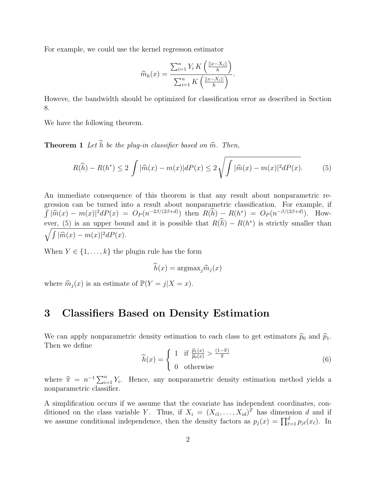For example, we could use the kernel regresson estimator

$$
\widehat{m}_h(x) = \frac{\sum_{i=1}^n Y_i K\left(\frac{||x - X_i||}{h}\right)}{\sum_{i=1}^n K\left(\frac{||x - X_i||}{h}\right)}.
$$

Howeve, the bandwidth should be optimized for classification error as described in Section 8.

We have the following theorem.

**Theorem 1** Let  $\widehat{h}$  be the plug-in classifier based on  $\widehat{m}$ . Then,

$$
R(\widehat{h}) - R(h^*) \le 2 \int |\widehat{m}(x) - m(x)|dP(x) \le 2\sqrt{\int |\widehat{m}(x) - m(x)|^2 dP(x)}.
$$
 (5)

An immediate consequence of this theorem is that any result about nonparametric regression can be turned into a result about nonparametric classification. For example, if  $\int |\widehat{m}(x) - m(x)|^2 dP(x) = O_P(n^{-2\beta/(2\beta+d)})$  then  $R(h) - R(h^*) = O_P(n^{-\beta/(2\beta+d)})$ . However, (5) is an upper bound and it is possible that  $R(h) - R(h^*)$  is strictly smaller than  $\sqrt{\int |\widehat{m}(x) - m(x)|^2 dP(x)}$ .

When  $Y \in \{1, \ldots, k\}$  the plugin rule has the form

$$
\widehat{h}(x) = \operatorname{argmax}_{j} \widehat{m}_{j}(x)
$$

where  $\widehat{m}_j (x)$  is an estimate of  $\mathbb{P}(Y = j | X = x)$ .

# 3 Classifiers Based on Density Estimation

We can apply nonparametric density estimation to each class to get estimators  $\hat{p}_0$  and  $\hat{p}_1$ . Then we define

$$
\widehat{h}(x) = \begin{cases}\n1 & \text{if } \frac{\widehat{p}_1(x)}{\widehat{p}_0(x)} > \frac{(1-\widehat{\pi})}{\widehat{\pi}} \\
0 & \text{otherwise}\n\end{cases}
$$
\n(6)

where  $\hat{\pi} = n^{-1} \sum_{i=1}^{n} Y_i$ . Hence, any nonparametric density estimation method yields a<br>nonparametric elassifier nonparametric classifier.

A simplification occurs if we assume that the covariate has independent coordinates, conditioned on the class variable Y. Thus, if  $X_i = (X_{i1}, \ldots, X_{id})^T$  has dimension d and if we assume conditional independence, then the density factors as  $p_j(x) = \prod_{\ell=1}^d p_{j\ell}(x_\ell)$ . In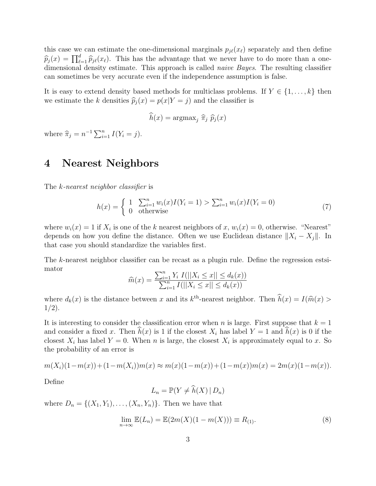this case we can estimate the one-dimensional marginals  $p_{i\ell}(x_{\ell})$  separately and then define  $\widehat{p}_j(x) = \prod_{\ell=1}^d \widehat{p}_{j\ell}(x_\ell)$ . This has the advantage that we never have to do more than a one-<br>dimensional density estimate. This approach is called naive Bayes. The resulting elassifier dimensional density estimate. This approach is called *naive Bayes*. The resulting classifier can sometimes be very accurate even if the independence assumption is false.

It is easy to extend density based methods for multiclass problems. If  $Y \in \{1, \ldots, k\}$  then we estimate the k densities  $\hat{p}_j(x) = p(x|Y = j)$  and the classifier is

$$
\widehat{h}(x) = \operatorname{argmax}_{j} \widehat{\pi}_{j} \widehat{p}_{j}(x)
$$

where  $\hat{\pi}_j = n^{-1} \sum_{i=1}^n I(Y_i = j)$ .

## 4 Nearest Neighbors

The k-nearest neighbor classifier is

$$
h(x) = \begin{cases} 1 & \sum_{i=1}^{n} w_i(x)I(Y_i = 1) > \sum_{i=1}^{n} w_i(x)I(Y_i = 0) \\ 0 & \text{otherwise} \end{cases}
$$
(7)

where  $w_i(x) = 1$  if  $X_i$  is one of the k nearest neighbors of x,  $w_i(x) = 0$ , otherwise. "Nearest" depends on how you define the distance. Often we use Euclidean distance  $||X_i - X_j||$ . In that case you should standardize the variables first.

The k-nearest neighbor classifier can be recast as a plugin rule. Define the regression estsimator

$$
\widehat{m}(x) = \frac{\sum_{i=1}^{n} Y_i \ I(||X_i \le x|| \le d_k(x))}{\sum_{i=1}^{n} I(||X_i \le x|| \le d_k(x))}
$$

where  $d_k(x)$  is the distance between x and its  $k^{\text{th}}$ -nearest neighbor. Then  $\hat{h}(x) = I(\hat{m}(x) > 1/2)$  $1/2$ ).

It is interesting to consider the classification error when n is large. First suppose that  $k = 1$ and consider a fixed x. Then  $h(x)$  is 1 if the closest  $X_i$  has label  $Y = 1$  and  $h(x)$  is 0 if the closest  $X_i$  has label  $Y = 0$ . When n is large, the closest  $X_i$  is approximately equal to x. So the probability of an error is

$$
m(X_i)(1-m(x)) + (1-m(X_i))m(x) \approx m(x)(1-m(x)) + (1-m(x))m(x) = 2m(x)(1-m(x)).
$$

Define

$$
L_n = \mathbb{P}(Y \neq \widehat{h}(X) | D_n)
$$

where  $D_n = \{(X_1, Y_1), \ldots, (X_n, Y_n)\}.$  Then we have that

$$
\lim_{n \to \infty} \mathbb{E}(L_n) = \mathbb{E}(2m(X)(1 - m(X))) \equiv R_{(1)}.
$$
\n(8)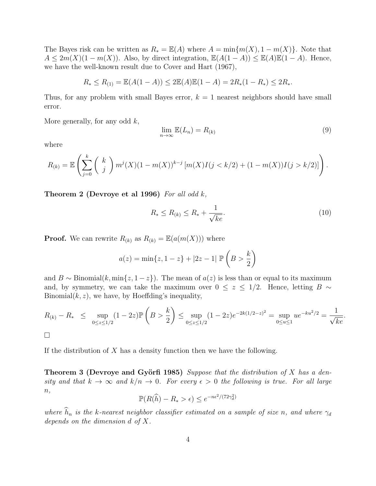The Bayes risk can be written as  $R_* = \mathbb{E}(A)$  where  $A = \min\{m(X), 1 - m(X)\}\.$  Note that  $A \leq 2m(X)(1 - m(X))$ . Also, by direct integration,  $\mathbb{E}(A(1 - A)) \leq \mathbb{E}(A)\mathbb{E}(1 - A)$ . Hence, we have the well-known result due to Cover and Hart (1967),

$$
R_* \le R_{(1)} = \mathbb{E}(A(1-A)) \le 2\mathbb{E}(A)\mathbb{E}(1-A) = 2R_*(1-R_*) \le 2R_*.
$$

Thus, for any problem with small Bayes error,  $k = 1$  nearest neighbors should have small error.

More generally, for any odd  $k$ ,

$$
\lim_{n \to \infty} \mathbb{E}(L_n) = R_{(k)} \tag{9}
$$

where

$$
R_{(k)} = \mathbb{E}\left(\sum_{j=0}^{k} {k \choose j} m^{j}(X)(1-m(X))^{k-j} [m(X)I(j < k/2) + (1-m(X))I(j > k/2)]\right).
$$

Theorem 2 (Devroye et al 1996) For all odd  $k$ ,

$$
R_* \le R_{(k)} \le R_* + \frac{1}{\sqrt{ke}}.\tag{10}
$$

.

**Proof.** We can rewrite  $R_{(k)}$  as  $R_{(k)} = \mathbb{E}(a(m(X)))$  where

$$
a(z) = \min\{z, 1 - z\} + |2z - 1| \mathbb{P}\left(B > \frac{k}{2}\right)
$$

and B ∼ Binomial(k, min{z, 1 − z}). The mean of  $a(z)$  is less than or equal to its maximum and, by symmetry, we can take the maximum over  $0 \le z \le 1/2$ . Hence, letting B ∼ Binomial $(k, z)$ , we have, by Hoeffding's inequality,

$$
R_{(k)} - R_* \leq \sup_{0 \leq z \leq 1/2} (1 - 2z) \mathbb{P}\left(B > \frac{k}{2}\right) \leq \sup_{0 \leq z \leq 1/2} (1 - 2z) e^{-2k(1/2 - z)^2} = \sup_{0 \leq u \leq 1} u e^{-ku^2/2} = \frac{1}{\sqrt{ke}}
$$

$$
\Box
$$

If the distribution of  $X$  has a density function then we have the following.

**Theorem 3 (Devroye and Györfi 1985)** Suppose that the distribution of X has a density and that  $k \to \infty$  and  $k/n \to 0$ . For every  $\epsilon > 0$  the following is true. For all large  $n,$ 

$$
\mathbb{P}(R(\widehat{h}) - R_* > \epsilon) \le e^{-n\epsilon^2/(72\gamma_d^2)}
$$

where  $\widehat{h}_n$  is the k-nearest neighbor classifier estimated on a sample of size n, and where  $\gamma_d$ depends on the dimension d of X.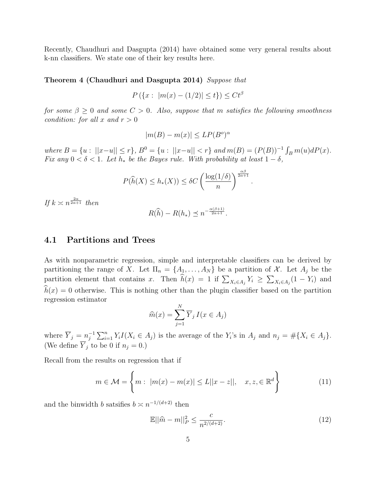Recently, Chaudhuri and Dasgupta (2014) have obtained some very general results about k-nn classifiers. We state one of their key results here.

#### Theorem 4 (Chaudhuri and Dasgupta 2014) Suppose that

$$
P(\{x : |m(x) - (1/2)| \le t\}) \le Ct^{\beta}
$$

for some  $\beta \geq 0$  and some  $C > 0$ . Also, suppose that m satisfies the following smoothness condition: for all x and  $r > 0$ 

$$
|m(B) - m(x)| \le LP(B^o)^\alpha
$$

where  $B = \{u : ||x-u|| \le r\}$ ,  $B^0 = \{u : ||x-u|| < r\}$  and  $m(B) = (P(B))^{-1} \int_B m(u) dP(x)$ . Fix any  $0 < \delta < 1$ . Let  $h_*$  be the Bayes rule. With probability at least  $1 - \delta$ ,

$$
P(\widehat{h}(X) \le h_*(X)) \le \delta C \left(\frac{\log(1/\delta)}{n}\right)^{\frac{\alpha\beta}{2\alpha+1}}
$$

If  $k \asymp n^{\frac{2\alpha}{2\alpha+1}}$  then

$$
R(\widehat{h}) - R(h_*) \preceq n^{-\frac{\alpha(\beta+1)}{2\alpha+1}}.
$$

#### 4.1 Partitions and Trees

As with nonparametric regression, simple and interpretable classifiers can be derived by partitioning the range of X. Let  $\Pi_n = \{A_1, \ldots, A_N\}$  be a partition of X. Let  $A_j$  be the partition element that contains x. Then  $h(x) = 1$  if  $\sum_{X_i \in A_j} Y_i \ge \sum_{X_i \in A_j} (1 - Y_i)$  and  $\widehat{h}(x) = 0$  otherwise. This is nothing other than the plugin classifier based on the partition regression estimator

$$
\widehat{m}(x) = \sum_{j=1}^{N} \overline{Y}_{j} I(x \in A_{j})
$$

where  $\overline{Y}_j = n_j^{-1}$  $j_j^{-1} \sum_{i=1}^n Y_i I(X_i \in A_j)$  is the average of the  $Y_i$ 's in  $A_j$  and  $n_j = \# \{X_i \in A_j\}.$ (We define  $Y_j$  to be 0 if  $n_j = 0$ .)

Recall from the results on regression that if

$$
m \in \mathcal{M} = \left\{ m : \ |m(x) - m(x)| \le L||x - z||, \quad x, z, \in \mathbb{R}^d \right\}
$$
 (11)

and the binwidth b satsifies  $b \asymp n^{-1/(d+2)}$  then

$$
\mathbb{E}||\hat{m} - m||_P^2 \le \frac{c}{n^{2/(d+2)}}.\tag{12}
$$

.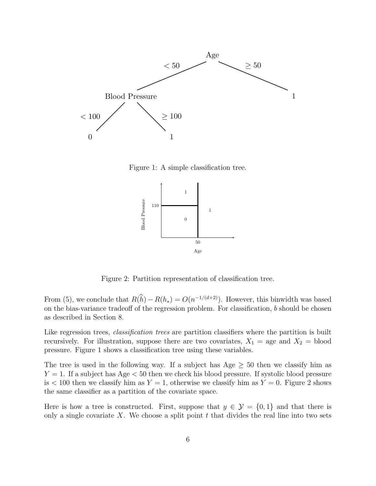

Figure 1: A simple classification tree.



Figure 2: Partition representation of classification tree.

From (5), we conclude that  $R(h) - R(h_*) = O(n^{-1/(d+2)})$ . However, this binwidth was based on the bias-variance tradeoff of the regression problem. For classification, b should be chosen as described in Section 8.

Like regression trees, *classification trees* are partition classifiers where the partition is built recursively. For illustration, suppose there are two covariates,  $X_1 =$  age and  $X_2 =$  blood pressure. Figure 1 shows a classification tree using these variables.

The tree is used in the following way. If a subject has Age  $\geq$  50 then we classify him as  $Y = 1$ . If a subject has Age  $\lt 50$  then we check his blood pressure. If systolic blood pressure is  $100$  then we classify him as  $Y = 1$ , otherwise we classify him as  $Y = 0$ . Figure 2 shows the same classifier as a partition of the covariate space.

Here is how a tree is constructed. First, suppose that  $y \in \mathcal{Y} = \{0,1\}$  and that there is only a single covariate X. We choose a split point  $t$  that divides the real line into two sets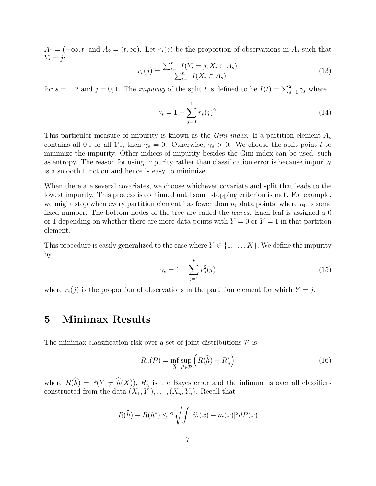$A_1 = (-\infty, t]$  and  $A_2 = (t, \infty)$ . Let  $r_s(j)$  be the proportion of observations in  $A_s$  such that  $Y_i = j$ :

$$
r_s(j) = \frac{\sum_{i=1}^{n} I(Y_i = j, X_i \in A_s)}{\sum_{i=1}^{n} I(X_i \in A_s)}
$$
(13)

for  $s = 1, 2$  and  $j = 0, 1$ . The *impurity* of the split t is defined to be  $I(t) = \sum_{s=1}^{2} \gamma_s$  where

$$
\gamma_s = 1 - \sum_{j=0}^{1} r_s(j)^2.
$$
 (14)

This particular measure of impurity is known as the *Gini index*. If a partition element  $A_s$ contains all 0's or all 1's, then  $\gamma_s = 0$ . Otherwise,  $\gamma_s > 0$ . We choose the split point t to minimize the impurity. Other indices of impurity besides the Gini index can be used, such as entropy. The reason for using impurity rather than classification error is because impurity is a smooth function and hence is easy to minimize.

When there are several covariates, we choose whichever covariate and split that leads to the lowest impurity. This process is continued until some stopping criterion is met. For example, we might stop when every partition element has fewer than  $n_0$  data points, where  $n_0$  is some fixed number. The bottom nodes of the tree are called the *leaves*. Each leaf is assigned a 0 or 1 depending on whether there are more data points with  $Y = 0$  or  $Y = 1$  in that partition element.

This procedure is easily generalized to the case where  $Y \in \{1, \ldots, K\}$ . We define the impurity by

$$
\gamma_s = 1 - \sum_{j=1}^k r_s^2(j) \tag{15}
$$

where  $r_i(j)$  is the proportion of observations in the partition element for which  $Y = j$ .

# 5 Minimax Results

The minimax classification risk over a set of joint distributions  $P$  is

$$
R_n(\mathcal{P}) = \inf_{\widehat{h}} \sup_{P \in \mathcal{P}} \left( R(\widehat{h}) - R_n^* \right) \tag{16}
$$

where  $R(\hat{h}) = \mathbb{P}(Y \neq \hat{h}(X)), R_n^*$  is the Bayes error and the infimum is over all classifiers constructed from the data  $(X_1, Y_1), \ldots, (X_n, Y_n)$ . Recall that

$$
R(\widehat{h}) - R(h^*) \le 2\sqrt{\int |\widehat{m}(x) - m(x)|^2 dP(x)}
$$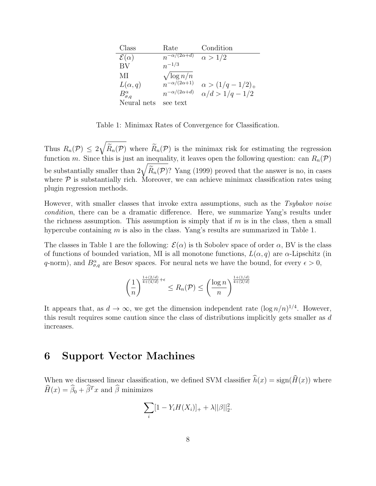| Class                   | Rate                      | Condition                  |
|-------------------------|---------------------------|----------------------------|
| $\mathcal{E}(\alpha)$   | $n^{-\alpha/(2\alpha+d)}$ | $\alpha > 1/2$             |
| BV                      | $n^{-1/3}$                |                            |
| МI                      | $\sqrt{\log n/n}$         |                            |
| $L(\alpha,q)$           | $n^{-\alpha/(2\alpha+1)}$ | $\alpha > (1/q - 1/2)_{+}$ |
| $B^{\alpha}_{\sigma,q}$ | $n^{-\alpha/(2\alpha+d)}$ | $\alpha/d > 1/q - 1/2$     |
| Neural nets             | see text                  |                            |

Table 1: Minimax Rates of Convergence for Classification.

Thus  $R_n(\mathcal{P}) \leq 2\sqrt{\widetilde{R}_n(\mathcal{P})}$  where  $\widetilde{R}_n(\mathcal{P})$  is the minimax risk for estimating the regression function m. Since this is just an inequality, it leaves open the following question: can  $R_n(\mathcal{P})$ be substantially smaller than  $2\sqrt{\widetilde{R}_n(\mathcal{P})}$ ? Yang (1999) proved that the answer is no, in cases where  $P$  is substantially rich. Moreover, we can achieve minimax classification rates using plugin regression methods.

However, with smaller classes that invoke extra assumptions, such as the Tsybakov noise condition, there can be a dramatic difference. Here, we summarize Yang's results under the richness assumption. This assumption is simply that if  $m$  is in the class, then a small hypercube containing  $m$  is also in the class. Yang's results are summarized in Table 1.

The classes in Table 1 are the following:  $\mathcal{E}(\alpha)$  is the Sobolev space of order  $\alpha$ , BV is the class of functions of bounded variation, MI is all monotone functions,  $L(\alpha, q)$  are  $\alpha$ -Lipschitz (in q-norm), and  $B^{\alpha}_{\sigma,q}$  are Besov spaces. For neural nets we have the bound, for every  $\epsilon > 0$ ,

$$
\left(\frac{1}{n}\right)^{\frac{1+(2/d)}{4+(4/d)}+\epsilon}\leq R_n(\mathcal{P})\leq \left(\frac{\log n}{n}\right)^{\frac{1+(1/d)}{4+(2/d)}}
$$

It appears that, as  $d \to \infty$ , we get the dimension independent rate  $(\log n/n)^{1/4}$ . However, this result requires some caution since the class of distributions implicitly gets smaller as d increases.

#### 6 Support Vector Machines

When we discussed linear classification, we defined SVM classifier  $\hat{h}(x) = \text{sign}(\hat{H}(x))$  where  $\widehat{H}(x) = \widehat{\beta}_0 + \widehat{\beta}^T x$  and  $\widehat{\beta}$  minimizes

$$
\sum_{i} [1 - Y_i H(X_i)]_+ + \lambda ||\beta||_2^2.
$$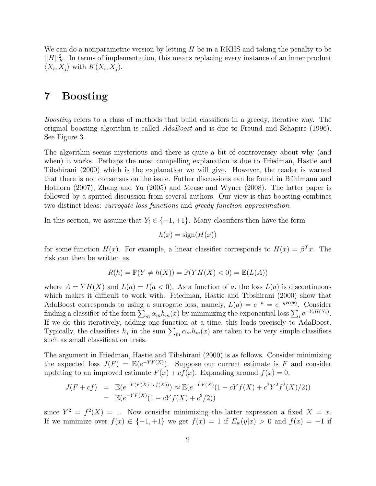We can do a nonparametric version by letting  $H$  be in a RKHS and taking the penalty to be  $||H||_K^2$ . In terms of implementation, this means replacing every instance of an inner product  $\langle X_i, X_j \rangle$  with  $K(X_i, X_j)$ .

# 7 Boosting

Boosting refers to a class of methods that build classifiers in a greedy, iterative way. The original boosting algorithm is called  $AdaBoost$  and is due to Freund and Schapire (1996). See Figure 3.

The algorithm seems mysterious and there is quite a bit of controversey about why (and when) it works. Perhaps the most compelling explanation is due to Friedman, Hastie and Tibshirani (2000) which is the explanation we will give. However, the reader is warned that there is not consensus on the issue. Futher discussions can be found in Bühlmann and Hothorn (2007), Zhang and Yu (2005) and Mease and Wyner (2008). The latter paper is followed by a spirited discussion from several authors. Our view is that boosting combines two distinct ideas: surrogate loss functions and greedy function approximation.

In this section, we assume that  $Y_i \in \{-1, +1\}$ . Many classifiers then have the form

$$
h(x) = \text{sign}(H(x))
$$

for some function  $H(x)$ . For example, a linear classifier corresponds to  $H(x) = \beta^{T}x$ . The risk can then be written as

$$
R(h) = \mathbb{P}(Y \neq h(X)) = \mathbb{P}(YH(X) < 0) = \mathbb{E}(L(A))
$$

where  $A = YH(X)$  and  $L(a) = I(a < 0)$ . As a function of a, the loss  $L(a)$  is discontinuous which makes it difficult to work with. Friedman, Hastie and Tibshirani (2000) show that AdaBoost corresponds to using a surrogate loss, namely,  $L(a) = e^{-a} = e^{-yH(x)}$ . Consider finding a classifier of the form  $\sum_m \alpha_m h_m(x)$  by minimizing the exponential loss  $\sum_i e^{-Y_i H(X_i)}$ . If we do this iteratively, adding one function at a time, this leads precisely to AdaBoost. Typically, the classifiers  $h_j$  in the sum  $\sum_m \alpha_m h_m(x)$  are taken to be very simple classifiers such as small classification trees.

The argument in Friedman, Hastie and Tibshirani (2000) is as follows. Consider minimizing the expected loss  $J(F) = \mathbb{E}(e^{-YF(X)})$ . Suppose our current estimate is F and consider updating to an improved estimate  $F(x) + cf(x)$ . Expanding around  $f(x) = 0$ ,

$$
J(F + cf) = \mathbb{E}(e^{-Y(F(X) + cf(X))}) \approx \mathbb{E}(e^{-YF(X)}(1 - cYf(X) + c^2Y^2f^2(X)/2))
$$
  
=  $\mathbb{E}(e^{-YF(X)}(1 - cYf(X) + c^2/2))$ 

since  $Y^2 = f^2(X) = 1$ . Now consider minimizing the latter expression a fixed  $X = x$ . If we minimize over  $f(x) \in \{-1, +1\}$  we get  $f(x) = 1$  if  $E_w(y|x) > 0$  and  $f(x) = -1$  if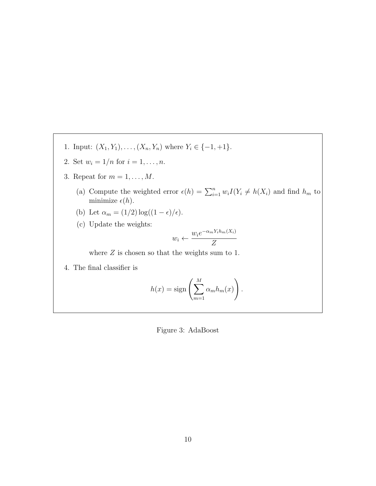- 1. Input:  $(X_1, Y_1), \ldots, (X_n, Y_n)$  where  $Y_i \in \{-1, +1\}$ .
- 2. Set  $w_i = 1/n$  for  $i = 1, ..., n$ .
- 3. Repeat for  $m = 1, \ldots, M$ .
	- (a) Compute the weighted error  $\epsilon(h) = \sum_{i=1}^n w_i I(Y_i \neq h(X_i))$  and find  $h_m$  to minimize  $\epsilon(h).$
	- (b) Let  $\alpha_m = (1/2) \log((1 \epsilon)/\epsilon).$
	- (c) Update the weights:

$$
w_i \leftarrow \frac{w_i e^{-\alpha_m Y_i h_m(X_i)}}{Z}
$$

where  $Z$  is chosen so that the weights sum to 1.

4. The final classifier is

$$
h(x) = \text{sign}\left(\sum_{m=1}^{M} \alpha_m h_m(x)\right)
$$

.

Figure 3: AdaBoost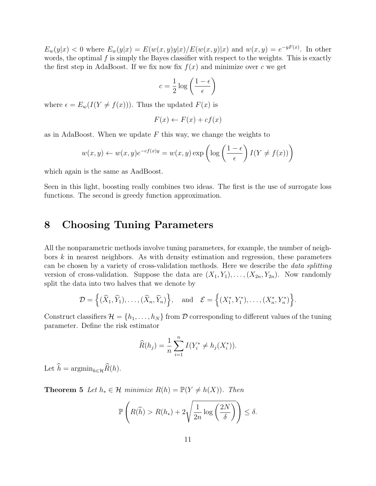$E_w(y|x) < 0$  where  $E_w(y|x) = E(w(x, y)y|x)/E(w(x, y)|x)$  and  $w(x, y) = e^{-yF(x)}$ . In other words, the optimal  $f$  is simply the Bayes classifier with respect to the weights. This is exactly the first step in AdaBoost. If we fix now fix  $f(x)$  and minimize over c we get

$$
c = \frac{1}{2} \log \left( \frac{1-\epsilon}{\epsilon} \right)
$$

where  $\epsilon = E_w(I(Y \neq f(x)))$ . Thus the updated  $F(x)$  is

$$
F(x) \leftarrow F(x) + cf(x)
$$

as in AdaBoost. When we update  $F$  this way, we change the weights to

$$
w(x, y) \leftarrow w(x, y)e^{-cf(x)y} = w(x, y) \exp\left(\log\left(\frac{1-\epsilon}{\epsilon}\right)I(Y \neq f(x))\right)
$$

which again is the same as AadBoost.

Seen in this light, boosting really combines two ideas. The first is the use of surrogate loss functions. The second is greedy function approximation.

# 8 Choosing Tuning Parameters

All the nonparametric methods involve tuning parameters, for example, the number of neighbors  $k$  in nearest neighbors. As with density estimation and regression, these parameters can be chosen by a variety of cross-validation methods. Here we describe the data splitting version of cross-validation. Suppose the data are  $(X_1, Y_1), \ldots, (X_{2n}, Y_{2n})$ . Now randomly split the data into two halves that we denote by

$$
\mathcal{D} = \left\{ (\widetilde{X}_1, \widetilde{Y}_1), \ldots, (\widetilde{X}_n, \widetilde{Y}_n) \right\}, \quad \text{and} \quad \mathcal{E} = \left\{ (X_1^*, Y_1^*), \ldots, (X_n^*, Y_n^*) \right\}.
$$

Construct classifiers  $\mathcal{H} = \{h_1, \ldots, h_N\}$  from D corresponding to different values of the tuning parameter. Define the risk estimator

$$
\widehat{R}(h_j) = \frac{1}{n} \sum_{i=1}^n I(Y_i^* \neq h_j(X_i^*)).
$$

Let  $\widehat{h} = \operatorname{argmin}_{h \in \mathcal{H}} \widehat{R}(h).$ 

**Theorem 5** Let  $h_* \in \mathcal{H}$  minimize  $R(h) = \mathbb{P}(Y \neq h(X))$ . Then

$$
\mathbb{P}\left(R(\widehat{h}) > R(h_*) + 2\sqrt{\frac{1}{2n}\log\left(\frac{2N}{\delta}\right)}\right) \le \delta.
$$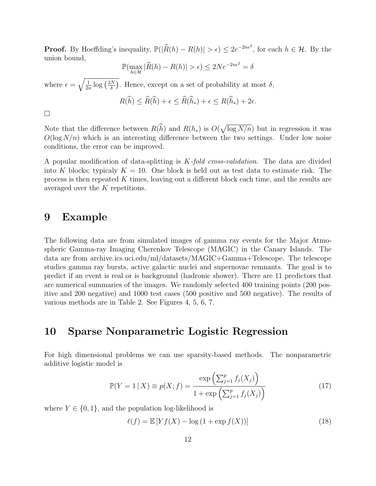**Proof.** By Hoeffding's inequality,  $\mathbb{P}(|\hat{R}(h) - R(h)| > \epsilon) \leq 2e^{-2n\epsilon^2}$ , for each  $h \in \mathcal{H}$ . By the union bound,

$$
\mathbb{P}(\max_{h \in \mathcal{H}} |\widehat{R}(h) - R(h)| > \epsilon) \le 2Ne^{-2n\epsilon^2} = \delta
$$

where  $\epsilon = \sqrt{\frac{1}{2n}}$  $\frac{1}{2n} \log \left( \frac{2N}{\delta} \right)$  $\frac{N}{\delta}$ ). Hence, except on a set of probability at most  $\delta$ ,

$$
R(\widehat{h}) \leq \widehat{R}(\widehat{h}) + \epsilon \leq \widehat{R}(\widehat{h}_*) + \epsilon \leq R(\widehat{h}_*) + 2\epsilon.
$$

 $\Box$ 

Note that the difference between  $R(\hat{h})$  and  $R(h_*)$  is  $O(\sqrt{\log N/n})$  but in regression it was  $O(\log N/n)$  which is an interesting difference between the two settings. Under low noise conditions, the error can be improved.

A popular modification of data-splitting is K-fold cross-validation. The data are divided into K blocks; typicaly  $K = 10$ . One block is held out as test data to estimate risk. The process is then repeated  $K$  times, leaving out a different block each time, and the results are averaged over the K repetitions.

#### 9 Example

The following data are from simulated images of gamma ray events for the Major Atmospheric Gamma-ray Imaging Cherenkov Telescope (MAGIC) in the Canary Islands. The data are from archive.ics.uci.edu/ml/datasets/MAGIC+Gamma+Telescope. The telescope studies gamma ray bursts, active galactic nuclei and supernovae remnants. The goal is to predict if an event is real or is background (hadronic shower). There are 11 predictors that are numerical summaries of the images. We randomly selected 400 training points (200 positive and 200 negative) and 1000 test cases (500 positive and 500 negative). The results of various methods are in Table 2. See Figures 4, 5, 6, 7.

## 10 Sparse Nonparametric Logistic Regression

For high dimensional problems we can use sparsity-based methods. The nonparametric additive logistic model is

$$
\mathbb{P}(Y = 1 | X) \equiv p(X; f) = \frac{\exp\left(\sum_{j=1}^{p} f_j(X_j)\right)}{1 + \exp\left(\sum_{j=1}^{p} f_j(X_j)\right)}
$$
(17)

where  $Y \in \{0, 1\}$ , and the population log-likelihood is

 $\ell(f) = \mathbb{E} [Y f(X) - \log (1 + \exp f(X))]$  (18)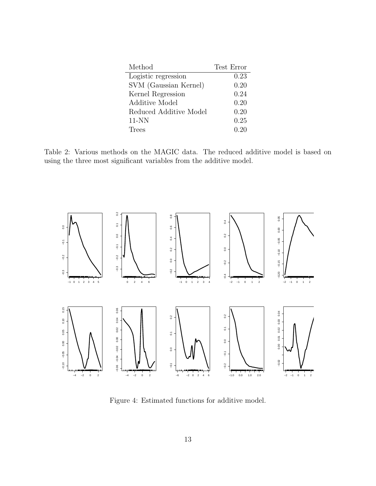| Method                 | Test Error |
|------------------------|------------|
| Logistic regression    | 0.23       |
| SVM (Gaussian Kernel)  | 0.20       |
| Kernel Regression      | 0.24       |
| Additive Model         | 0.20       |
| Reduced Additive Model | 0.20       |
| $11-NN$                | 0.25       |
| Trees                  | 0.20       |

Table 2: Various methods on the MAGIC data. The reduced additive model is based on using the three most significant variables from the additive model.



Figure 4: Estimated functions for additive model.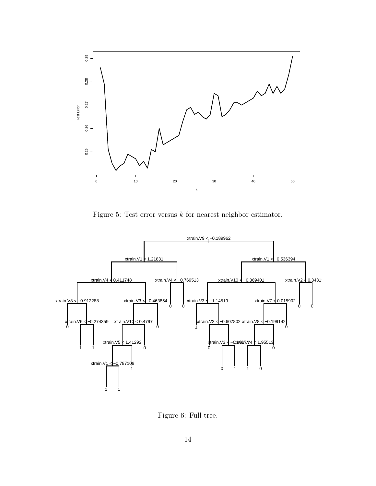

Figure 5: Test error versus  $k$  for nearest neighbor estimator.



Figure 6: Full tree.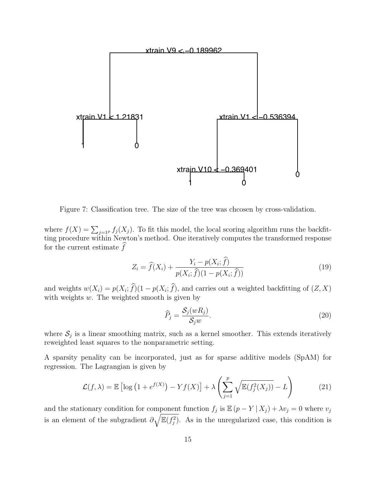

Figure 7: Classification tree. The size of the tree was chcosen by cross-validation.

where  $f(X) = \sum_{j=1^p} f_j(X_j)$ . To fit this model, the local scoring algorithm runs the backfitting procedure within Newton's method. One iteratively computes the transformed response for the current estimate  $\hat{f}$ 

$$
Z_i = \hat{f}(X_i) + \frac{Y_i - p(X_i; f)}{p(X_i; \hat{f})(1 - p(X_i; \hat{f}))}
$$
(19)

and weights  $w(X_i) = p(X_i; f)(1 - p(X_i; f))$ , and carries out a weighted backfitting of  $(Z, X)$ with weights  $w$ . The weighted smooth is given by

$$
\widehat{P}_j = \frac{\mathcal{S}_j(wR_j)}{\mathcal{S}_j w}.\tag{20}
$$

where  $S_j$  is a linear smoothing matrix, such as a kernel smoother. This extends iteratively reweighted least squares to the nonparametric setting.

A sparsity penality can be incorporated, just as for sparse additive models (SpAM) for regression. The Lagrangian is given by

$$
\mathcal{L}(f,\lambda) = \mathbb{E}\left[\log\left(1 + e^{f(X)}\right) - Yf(X)\right] + \lambda \left(\sum_{j=1}^{p} \sqrt{\mathbb{E}(f_j^2(X_j))} - L\right) \tag{21}
$$

and the stationary condition for component function  $f_j$  is  $\mathbb{E}(p - Y | X_j) + \lambda v_j = 0$  where  $v_j$ is an element of the subgradient  $\partial \sqrt{\mathbb{E}(f_j^2)}$ . As in the unregularized case, this condition is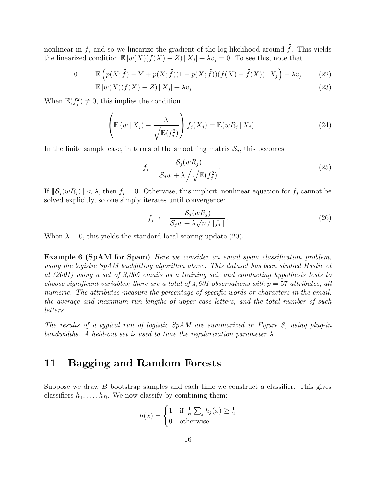nonlinear in f, and so we linearize the gradient of the log-likelihood around  $\hat{f}$ . This yields the linearized condition  $\mathbb{E}[w(X)(f(X)-Z) | X_j] + \lambda v_j = 0$ . To see this, note that

$$
0 = \mathbb{E}\left(p(X;\hat{f}) - Y + p(X;\hat{f})(1 - p(X;\hat{f}))(f(X) - \hat{f}(X)) | X_j\right) + \lambda v_j \tag{22}
$$

$$
= \mathbb{E}\left[w(X)(f(X) - Z)\,|\,X_j\right] + \lambda v_j \tag{23}
$$

When  $\mathbb{E}(f_j^2) \neq 0$ , this implies the condition

$$
\left(\mathbb{E}\left(w\,|\,X_j\right) + \frac{\lambda}{\sqrt{\mathbb{E}(f_j^2)}}\right)f_j(X_j) = \mathbb{E}(wR_j\,|\,X_j). \tag{24}
$$

In the finite sample case, in terms of the smoothing matrix  $S_j$ , this becomes

$$
f_j = \frac{\mathcal{S}_j(wR_j)}{\mathcal{S}_j w + \lambda \left/ \sqrt{\mathbb{E}(f_j^2)}\right.}.
$$
\n(25)

If  $\|\mathcal{S}_j(wR_j)\| < \lambda$ , then  $f_j = 0$ . Otherwise, this implicit, nonlinear equation for  $f_j$  cannot be solved explicitly, so one simply iterates until convergence:

$$
f_j \leftarrow \frac{\mathcal{S}_j(wR_j)}{\mathcal{S}_j w + \lambda \sqrt{n} / \|f_j\|}.
$$
\n(26)

When  $\lambda = 0$ , this yields the standard local scoring update (20).

Example 6 (SpAM for Spam) Here we consider an email spam classification problem, using the logistic SpAM backfitting algorithm above. This dataset has been studied Hastie et al (2001) using a set of 3,065 emails as a training set, and conducting hypothesis tests to choose significant variables; there are a total of  $\frac{1}{4}$ , 601 observations with  $p = 57$  attributes, all numeric. The attributes measure the percentage of specific words or characters in the email, the average and maximum run lengths of upper case letters, and the total number of such letters.

The results of a typical run of logistic SpAM are summarized in Figure 8, using plug-in bandwidths. A held-out set is used to tune the regularization parameter  $\lambda$ .

# 11 Bagging and Random Forests

Suppose we draw  $B$  bootstrap samples and each time we construct a classifier. This gives classifiers  $h_1, \ldots, h_B$ . We now classify by combining them:

$$
h(x) = \begin{cases} 1 & \text{if } \frac{1}{B} \sum_j h_j(x) \ge \frac{1}{2} \\ 0 & \text{otherwise.} \end{cases}
$$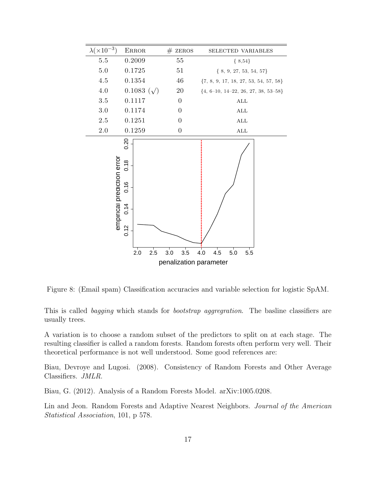

Figure 8: (Email spam) Classification accuracies and variable selection for logistic SpAM.

This is called bagging which stands for bootstrap aggregration. The basime classifiers are usually trees.

A variation is to choose a random subset of the predictors to split on at each stage. The resulting classifier is called a random forests. Random forests often perform very well. Their theoretical performance is not well understood. Some good references are:

Biau, Devroye and Lugosi. (2008). Consistency of Random Forests and Other Average Classifiers. JMLR.

Biau, G. (2012). Analysis of a Random Forests Model. arXiv:1005.0208.

Lin and Jeon. Random Forests and Adaptive Nearest Neighbors. Journal of the American Statistical Association, 101, p 578.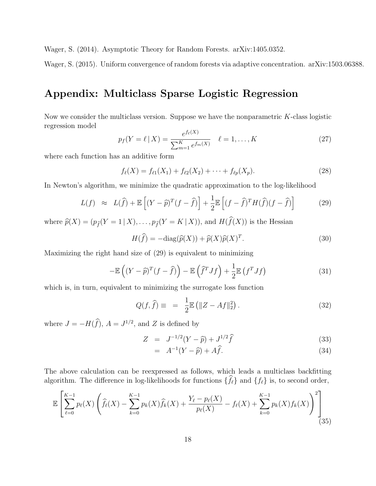Wager, S. (2014). Asymptotic Theory for Random Forests. arXiv:1405.0352.

Wager, S. (2015). Uniform convergence of random forests via adaptive concentration. arXiv:1503.06388.

# Appendix: Multiclass Sparse Logistic Regression

Now we consider the multiclass version. Suppose we have the nonparametric K-class logistic regression model

$$
p_f(Y = \ell \mid X) = \frac{e^{f_{\ell}(X)}}{\sum_{m=1}^{K} e^{f_m(X)}} \quad \ell = 1, \dots, K
$$
 (27)

where each function has an additive form

$$
f_{\ell}(X) = f_{\ell 1}(X_1) + f_{\ell 2}(X_2) + \dots + f_{\ell p}(X_p).
$$
 (28)

In Newton's algorithm, we minimize the quadratic approximation to the log-likelihood

$$
L(f) \approx L(\widehat{f}) + \mathbb{E}\left[ (Y - \widehat{p})^T (f - \widehat{f}) \right] + \frac{1}{2} \mathbb{E}\left[ (f - \widehat{f})^T H(\widehat{f}) (f - \widehat{f}) \right] \tag{29}
$$

where  $\widehat{p}(X) = (p_{\widehat{f}}(Y = 1 | X), \ldots, p_{\widehat{f}}(Y = K | X)),$  and  $H(\widehat{f}(X))$  is the Hessian

$$
H(\widehat{f}) = -\text{diag}(\widehat{p}(X)) + \widehat{p}(X)\widehat{p}(X)^{T}.
$$
\n(30)

Maximizing the right hand size of (29) is equivalent to minimizing

$$
-\mathbb{E}\left((Y-\widehat{p})^T(f-\widehat{f})\right)-\mathbb{E}\left(\widehat{f}^T Jf\right)+\frac{1}{2}\mathbb{E}\left(f^T Jf\right) \tag{31}
$$

which is, in turn, equivalent to minimizing the surrogate loss function

$$
Q(f, \hat{f}) \equiv = \frac{1}{2} \mathbb{E} \left( \|Z - Af\|_2^2 \right).
$$
 (32)

where  $J = -H(\hat{f}), A = J^{1/2}$ , and Z is defined by

$$
Z = J^{-1/2}(Y - \hat{p}) + J^{1/2}\hat{f}
$$
\n(33)

$$
= A^{-1}(Y - \hat{p}) + A\hat{f}.
$$
 (34)

The above calculation can be reexpressed as follows, which leads a multiclass backfitting algorithm. The difference in log-likelihoods for functions  $\{\widehat{f}_\ell\}$  and  $\{f_\ell\}$  is, to second order,

$$
\mathbb{E}\left[\sum_{\ell=0}^{K-1} p_{\ell}(X) \left(\hat{f}_{\ell}(X) - \sum_{k=0}^{K-1} p_k(X)\hat{f}_k(X) + \frac{Y_{\ell} - p_{\ell}(X)}{p_{\ell}(X)} - f_{\ell}(X) + \sum_{k=0}^{K-1} p_k(X)f_k(X)\right)^2\right] (35)
$$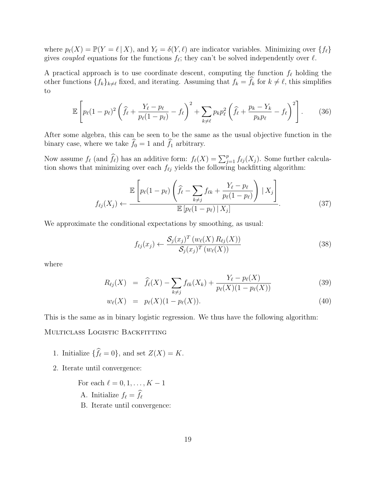where  $p_{\ell}(X) = \mathbb{P}(Y = \ell | X)$ , and  $Y_{\ell} = \delta(Y, \ell)$  are indicator variables. Minimizing over  $\{f_{\ell}\}\$ gives *coupled* equations for the functions  $f_{\ell}$ ; they can't be solved independently over  $\ell$ .

A practical approach is to use coordinate descent, computing the function  $f_\ell$  holding the other functions  $\{f_k\}_{k\neq\ell}$  fixed, and iterating. Assuming that  $f_k = \hat{f}_k$  for  $k \neq \ell$ , this simplifies to

$$
\mathbb{E}\left[p_{\ell}(1-p_{\ell})^{2}\left(\widehat{f}_{\ell}+\frac{Y_{\ell}-p_{\ell}}{p_{\ell}(1-p_{\ell})}-f_{\ell}\right)^{2}+\sum_{k\neq\ell}p_{k}p_{\ell}^{2}\left(\widehat{f}_{\ell}+\frac{p_{k}-Y_{k}}{p_{k}p_{\ell}}-f_{\ell}\right)^{2}\right].
$$
 (36)

After some algebra, this can be seen to be the same as the usual objective function in the binary case, where we take  $\widehat{f}_0 = 1$  and  $\widehat{f}_1$  arbitrary.

Now assume  $f_{\ell}$  (and  $\widehat{f}_{\ell}$ ) has an additive form:  $f_{\ell}(X) = \sum_{j=1}^{p} f_{\ell j}(X_j)$ . Some further calculation shows that minimizing over each  $f_{\ell j}$  yields the following backfitting algorithm:

$$
f_{\ell j}(X_j) \leftarrow \frac{\mathbb{E}\left[p_{\ell}(1-p_{\ell})\left(\hat{f}_{\ell} - \sum_{k \neq j} f_{\ell k} + \frac{Y_{\ell} - p_{\ell}}{p_{\ell}(1-p_{\ell})}\right) \mid X_j\right]}{\mathbb{E}\left[p_{\ell}(1-p_{\ell}) \mid X_j\right]}.
$$
\n(37)

We approximate the conditional expectations by smoothing, as usual:

$$
f_{\ell j}(x_j) \leftarrow \frac{\mathcal{S}_j(x_j)^T (w_{\ell}(X) R_{\ell j}(X))}{\mathcal{S}_j(x_j)^T (w_{\ell}(X))}
$$
\n(38)

where

$$
R_{\ell j}(X) = \hat{f}_{\ell}(X) - \sum_{k \neq j} f_{\ell k}(X_k) + \frac{Y_{\ell} - p_{\ell}(X)}{p_{\ell}(X)(1 - p_{\ell}(X))}
$$
(39)

$$
w_{\ell}(X) = p_{\ell}(X)(1 - p_{\ell}(X)). \tag{40}
$$

This is the same as in binary logistic regression. We thus have the following algorithm:

MULTICLASS LOGISTIC BACKFITTING

- 1. Initialize  $\{\widehat{f}_\ell = 0\}$ , and set  $Z(X) = K$ .
- 2. Iterate until convergence:
	- For each  $\ell = 0, 1, \ldots, K 1$ A. Initialize  $f_{\ell} = \widehat{f}_{\ell}$ B. Iterate until convergence: